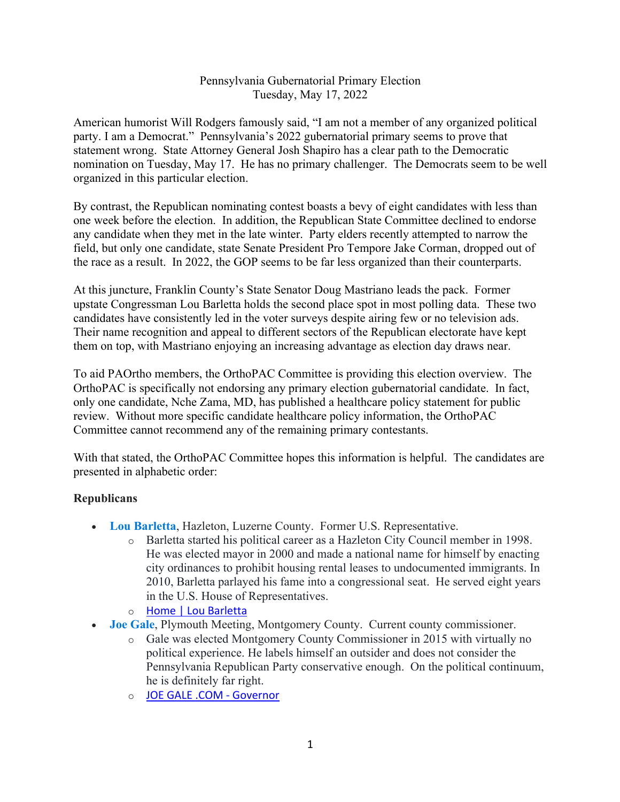## Pennsylvania Gubernatorial Primary Election Tuesday, May 17, 2022

American humorist Will Rodgers famously said, "I am not a member of any organized political party. I am a Democrat." Pennsylvania's 2022 gubernatorial primary seems to prove that statement wrong. State Attorney General Josh Shapiro has a clear path to the Democratic nomination on Tuesday, May 17. He has no primary challenger. The Democrats seem to be well organized in this particular election.

By contrast, the Republican nominating contest boasts a bevy of eight candidates with less than one week before the election. In addition, the Republican State Committee declined to endorse any candidate when they met in the late winter. Party elders recently attempted to narrow the field, but only one candidate, state Senate President Pro Tempore Jake Corman, dropped out of the race as a result. In 2022, the GOP seems to be far less organized than their counterparts.

At this juncture, Franklin County's State Senator Doug Mastriano leads the pack. Former upstate Congressman Lou Barletta holds the second place spot in most polling data. These two candidates have consistently led in the voter surveys despite airing few or no television ads. Their name recognition and appeal to different sectors of the Republican electorate have kept them on top, with Mastriano enjoying an increasing advantage as election day draws near.

To aid PAOrtho members, the OrthoPAC Committee is providing this election overview. The OrthoPAC is specifically not endorsing any primary election gubernatorial candidate. In fact, only one candidate, Nche Zama, MD, has published a healthcare policy statement for public review. Without more specific candidate healthcare policy information, the OrthoPAC Committee cannot recommend any of the remaining primary contestants.

With that stated, the OrthoPAC Committee hopes this information is helpful. The candidates are presented in alphabetic order:

## **Republicans**

- **Lou Barletta**, Hazleton, Luzerne County. Former U.S. Representative.
	- o Barletta started his political career as a Hazleton City Council member in 1998. He was elected mayor in 2000 and made a national name for himself by enacting city ordinances to prohibit housing rental leases to undocumented immigrants. In 2010, Barletta parlayed his fame into a congressional seat. He served eight years in the U.S. House of Representatives.
	- o Home | Lou Barletta
- **Joe Gale**, Plymouth Meeting, Montgomery County. Current county commissioner.
	- o Gale was elected Montgomery County Commissioner in 2015 with virtually no political experience. He labels himself an outsider and does not consider the Pennsylvania Republican Party conservative enough. On the political continuum, he is definitely far right.
	- o JOE GALE .COM Governor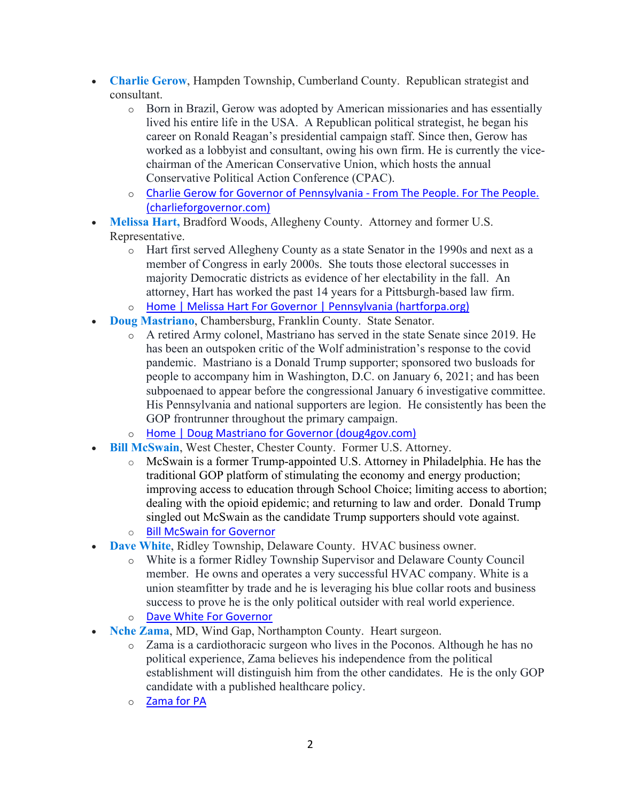- **Charlie Gerow**, Hampden Township, Cumberland County. Republican strategist and consultant.
	- o Born in Brazil, Gerow was adopted by American missionaries and has essentially lived his entire life in the USA. A Republican political strategist, he began his career on Ronald Reagan's presidential campaign staff. Since then, Gerow has worked as a lobbyist and consultant, owing his own firm. He is currently the vicechairman of the American Conservative Union, which hosts the annual Conservative Political Action Conference (CPAC).
	- o Charlie Gerow for Governor of Pennsylvania From The People. For The People. (charlieforgovernor.com)
- **Melissa Hart,** Bradford Woods, Allegheny County. Attorney and former U.S. Representative.
	- o Hart first served Allegheny County as a state Senator in the 1990s and next as a member of Congress in early 2000s. She touts those electoral successes in majority Democratic districts as evidence of her electability in the fall. An attorney, Hart has worked the past 14 years for a Pittsburgh-based law firm.
	- o Home | Melissa Hart For Governor | Pennsylvania (hartforpa.org)
- **Doug Mastriano**, Chambersburg, Franklin County. State Senator.
	- o A retired Army colonel, Mastriano has served in the state Senate since 2019. He has been an outspoken critic of the Wolf administration's response to the covid pandemic. Mastriano is a Donald Trump supporter; sponsored two busloads for people to accompany him in Washington, D.C. on January 6, 2021; and has been subpoenaed to appear before the congressional January 6 investigative committee. His Pennsylvania and national supporters are legion. He consistently has been the GOP frontrunner throughout the primary campaign.
	- o Home | Doug Mastriano for Governor (doug4gov.com)
- **Bill McSwain**, West Chester, Chester County. Former U.S. Attorney.
	- $\circ$  McSwain is a former Trump-appointed U.S. Attorney in Philadelphia. He has the traditional GOP platform of stimulating the economy and energy production; improving access to education through School Choice; limiting access to abortion; dealing with the opioid epidemic; and returning to law and order. Donald Trump singled out McSwain as the candidate Trump supporters should vote against.
	- o Bill McSwain for Governor
- **Dave White**, Ridley Township, Delaware County. HVAC business owner.
	- o White is a former Ridley Township Supervisor and Delaware County Council member. He owns and operates a very successful HVAC company. White is a union steamfitter by trade and he is leveraging his blue collar roots and business success to prove he is the only political outsider with real world experience.
	- o Dave White For Governor
- **Nche Zama**, MD, Wind Gap, Northampton County. Heart surgeon.
	- o Zama is a cardiothoracic surgeon who lives in the Poconos. Although he has no political experience, Zama believes his independence from the political establishment will distinguish him from the other candidates. He is the only GOP candidate with a published healthcare policy.
	- o Zama for PA